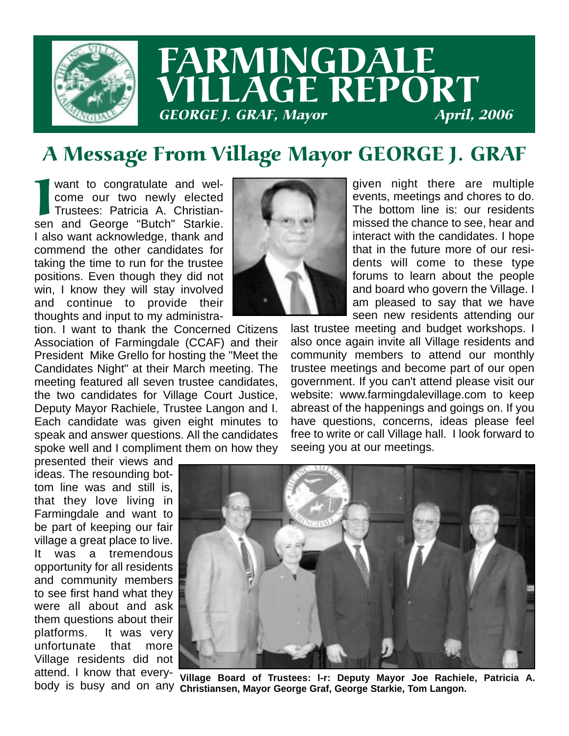

# FARMINGDALE LLAGE REPORT GEORGE J. GRAF, Mayor

## A Message From Village Mayor GEORGE J. GRAF

Want to congratulate and wel-<br>come our two newly elected<br>Trustees: Patricia A. Christian-<br>sen and George "Butch" Starkie. want to congratulate and welcome our two newly elected Trustees: Patricia A. Christian-I also want acknowledge, thank and commend the other candidates for taking the time to run for the trustee positions. Even though they did not win, I know they will stay involved and continue to provide their thoughts and input to my administra-

tion. I want to thank the Concerned Citizens Association of Farmingdale (CCAF) and their President Mike Grello for hosting the "Meet the Candidates Night" at their March meeting. The meeting featured all seven trustee candidates, the two candidates for Village Court Justice, Deputy Mayor Rachiele, Trustee Langon and I. Each candidate was given eight minutes to speak and answer questions. All the candidates spoke well and I compliment them on how they

presented their views and ideas. The resounding bottom line was and still is, that they love living in Farmingdale and want to be part of keeping our fair village a great place to live. It was a tremendous opportunity for all residents and community members to see first hand what they were all about and ask them questions about their platforms. It was very unfortunate that more Village residents did not attend. I know that everybody is busy and on any



given night there are multiple events, meetings and chores to do. The bottom line is: our residents missed the chance to see, hear and interact with the candidates. I hope that in the future more of our residents will come to these type forums to learn about the people and board who govern the Village. I am pleased to say that we have seen new residents attending our

last trustee meeting and budget workshops. I also once again invite all Village residents and community members to attend our monthly trustee meetings and become part of our open government. If you can't attend please visit our website: www.farmingdalevillage.com to keep abreast of the happenings and goings on. If you have questions, concerns, ideas please feel free to write or call Village hall. I look forward to seeing you at our meetings.



**Village Board of Trustees: l-r: Deputy Mayor Joe Rachiele, Patricia A. Christiansen, Mayor George Graf, George Starkie, Tom Langon.**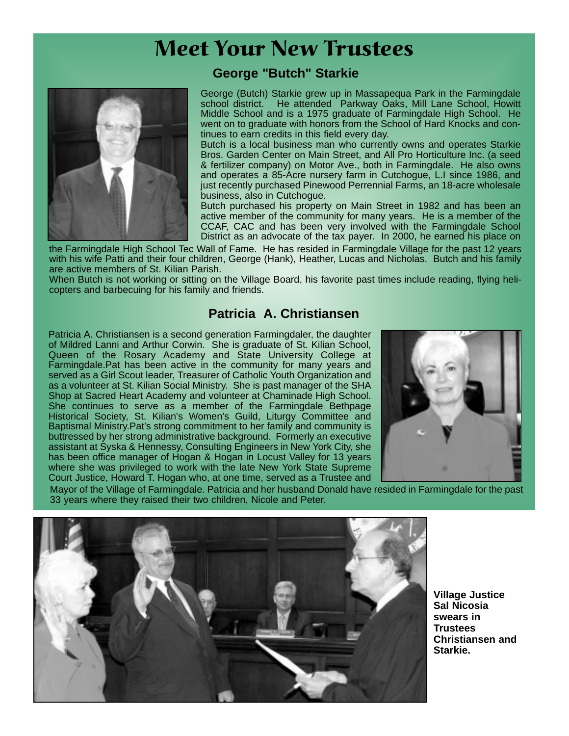## Meet Your New Trustees



#### **George "Butch" Starkie**

George (Butch) Starkie grew up in Massapequa Park in the Farmingdale school district. He attended Parkway Oaks, Mill Lane School, Howitt Middle School and is a 1975 graduate of Farmingdale High School. He went on to graduate with honors from the School of Hard Knocks and continues to earn credits in this field every day.

Butch is a local business man who currently owns and operates Starkie Bros. Garden Center on Main Street, and All Pro Horticulture Inc. (a seed & fertilizer company) on Motor Ave., both in Farmingdale. He also owns and operates a 85-Acre nursery farm in Cutchogue, L.I since 1986, and just recently purchased Pinewood Perrennial Farms, an 18-acre wholesale business, also in Cutchogue.

Butch purchased his property on Main Street in 1982 and has been an active member of the community for many years. He is a member of the CCAF, CAC and has been very involved with the Farmingdale School District as an advocate of the tax payer. In 2000, he earned his place on

the Farmingdale High School Tec Wall of Fame. He has resided in Farmingdale Village for the past 12 years with his wife Patti and their four children, George (Hank), Heather, Lucas and Nicholas. Butch and his family are active members of St. Kilian Parish.

When Butch is not working or sitting on the Village Board, his favorite past times include reading, flying helicopters and barbecuing for his family and friends.

#### **Patricia A. Christiansen**

Patricia A. Christiansen is a second generation Farmingdaler, the daughter of Mildred Lanni and Arthur Corwin. She is graduate of St. Kilian School, Queen of the Rosary Academy and State University College at Farmingdale.Pat has been active in the community for many years and served as a Girl Scout leader, Treasurer of Catholic Youth Organization and as a volunteer at St. Kilian Social Ministry. She is past manager of the SHA Shop at Sacred Heart Academy and volunteer at Chaminade High School. She continues to serve as a member of the Farmingdale Bethpage Historical Society, St. Kilian's Women's Guild, Liturgy Committee and Baptismal Ministry.Pat's strong commitment to her family and community is buttressed by her strong administrative background. Formerly an executive assistant at Syska & Hennessy, Consulting Engineers in New York City, she has been office manager of Hogan & Hogan in Locust Valley for 13 years where she was privileged to work with the late New York State Supreme Court Justice, Howard T. Hogan who, at one time, served as a Trustee and



Mayor of the Village of Farmingdale. Patricia and her husband Donald have resided in Farmingdale for the past 33 years where they raised their two children, Nicole and Peter.



**Village Justice Sal Nicosia swears in Trustees Christiansen and Starkie.**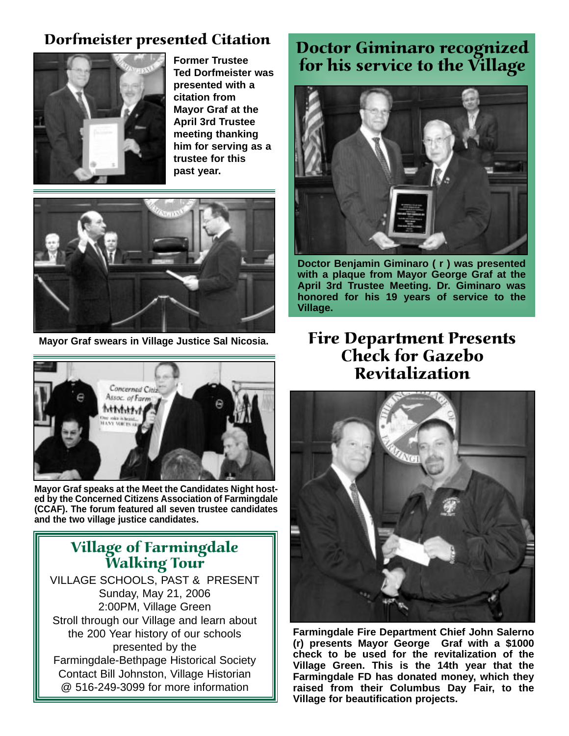### Dorfmeister presented Citation



**Former Trustee Ted Dorfmeister was presented with a citation from Mayor Graf at the April 3rd Trustee meeting thanking him for serving as a trustee for this past year.**





**Mayor Graf speaks at the Meet the Candidates Night hosted by the Concerned Citizens Association of Farmingdale (CCAF). The forum featured all seven trustee candidates and the two village justice candidates.**

### Village of Farmingdale Walking Tour

VILLAGE SCHOOLS, PAST & PRESENT Sunday, May 21, 2006 2:00PM, Village Green Stroll through our Village and learn about the 200 Year history of our schools presented by the Farmingdale-Bethpage Historical Society Contact Bill Johnston, Village Historian @ 516-249-3099 for more information

## Doctor Giminaro recognized for his service to the Village



**Doctor Benjamin Giminaro ( r ) was presented with a plaque from Mayor George Graf at the April 3rd Trustee Meeting. Dr. Giminaro was honored for his 19 years of service to the Village.** 

### **Mayor Graf swears in Village Justice Sal Nicosia.** Fire Department Presents Check for Gazebo Revitalization



**Farmingdale Fire Department Chief John Salerno (r) presents Mayor George Graf with a \$1000 check to be used for the revitalization of the Village Green. This is the 14th year that the Farmingdale FD has donated money, which they raised from their Columbus Day Fair, to the Village for beautification projects.**